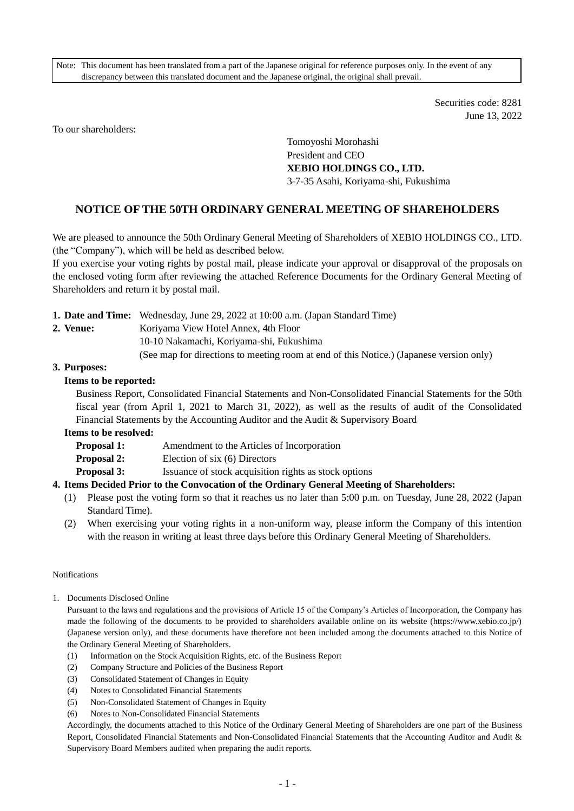Note: This document has been translated from a part of the Japanese original for reference purposes only. In the event of any discrepancy between this translated document and the Japanese original, the original shall prevail.

> Securities code: 8281 June 13, 2022

To our shareholders:

Tomoyoshi Morohashi President and CEO **XEBIO HOLDINGS CO., LTD.** 3-7-35 Asahi, Koriyama-shi, Fukushima

# **NOTICE OF THE 50TH ORDINARY GENERAL MEETING OF SHAREHOLDERS**

We are pleased to announce the 50th Ordinary General Meeting of Shareholders of XEBIO HOLDINGS CO., LTD. (the "Company"), which will be held as described below.

If you exercise your voting rights by postal mail, please indicate your approval or disapproval of the proposals on the enclosed voting form after reviewing the attached Reference Documents for the Ordinary General Meeting of Shareholders and return it by postal mail.

(See map for directions to meeting room at end of this Notice.) (Japanese version only)

## **3. Purposes:**

## **Items to be reported:**

Business Report, Consolidated Financial Statements and Non-Consolidated Financial Statements for the 50th fiscal year (from April 1, 2021 to March 31, 2022), as well as the results of audit of the Consolidated Financial Statements by the Accounting Auditor and the Audit & Supervisory Board

#### **Items to be resolved:**

- **Proposal 1:** Amendment to the Articles of Incorporation
- **Proposal 2:** Election of six (6) Directors

**Proposal 3:** Issuance of stock acquisition rights as stock options

# **4. Items Decided Prior to the Convocation of the Ordinary General Meeting of Shareholders:**

- (1) Please post the voting form so that it reaches us no later than 5:00 p.m. on Tuesday, June 28, 2022 (Japan Standard Time).
- (2) When exercising your voting rights in a non-uniform way, please inform the Company of this intention with the reason in writing at least three days before this Ordinary General Meeting of Shareholders.

#### Notifications

1. Documents Disclosed Online

Pursuant to the laws and regulations and the provisions of Article 15 of the Company's Articles of Incorporation, the Company has made the following of the documents to be provided to shareholders available online on its website (https://www.xebio.co.jp/) (Japanese version only), and these documents have therefore not been included among the documents attached to this Notice of the Ordinary General Meeting of Shareholders.

- (1) Information on the Stock Acquisition Rights, etc. of the Business Report
- (2) Company Structure and Policies of the Business Report
- (3) Consolidated Statement of Changes in Equity
- (4) Notes to Consolidated Financial Statements
- (5) Non-Consolidated Statement of Changes in Equity
- (6) Notes to Non-Consolidated Financial Statements

Accordingly, the documents attached to this Notice of the Ordinary General Meeting of Shareholders are one part of the Business Report, Consolidated Financial Statements and Non-Consolidated Financial Statements that the Accounting Auditor and Audit & Supervisory Board Members audited when preparing the audit reports.